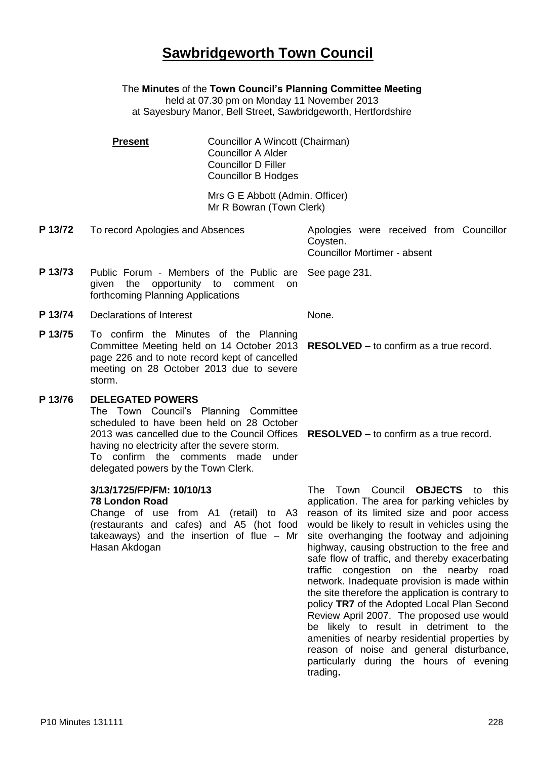# **Sawbridgeworth Town Council**

The **Minutes** of the **Town Council's Planning Committee Meeting**

held at 07.30 pm on Monday 11 November 2013 at Sayesbury Manor, Bell Street, Sawbridgeworth, Hertfordshire

**Present Councillor A Wincott (Chairman)** Councillor A Alder Councillor D Filler Councillor B Hodges

> Mrs G E Abbott (Admin. Officer) Mr R Bowran (Town Clerk)

**P 13/72** To record Apologies and Absences Apologies were received from Councillor

**P 13/73** Public Forum - Members of the Public are See page 231. given the opportunity to comment on forthcoming Planning Applications

**P 13/74** Declarations of Interest None.

**P 13/75** To confirm the Minutes of the Planning Committee Meeting held on 14 October 2013 page 226 and to note record kept of cancelled meeting on 28 October 2013 due to severe storm.

### **P 13/76 DELEGATED POWERS**

The Town Council's Planning Committee scheduled to have been held on 28 October 2013 was cancelled due to the Council Offices **RESOLVED –** to confirm as a true record. having no electricity after the severe storm. To confirm the comments made under delegated powers by the Town Clerk.

**3/13/1725/FP/FM: 10/10/13 78 London Road**

Change of use from A1 (retail) to A3 (restaurants and cafes) and A5 (hot food takeaways) and the insertion of flue – Mr Hasan Akdogan

Coysten. Councillor Mortimer - absent

**RESOLVED –** to confirm as a true record.

The Town Council **OBJECTS** to this application. The area for parking vehicles by reason of its limited size and poor access would be likely to result in vehicles using the site overhanging the footway and adjoining highway, causing obstruction to the free and safe flow of traffic, and thereby exacerbating traffic congestion on the nearby road network. Inadequate provision is made within the site therefore the application is contrary to policy **TR7** of the Adopted Local Plan Second Review April 2007. The proposed use would be likely to result in detriment to the amenities of nearby residential properties by reason of noise and general disturbance, particularly during the hours of evening trading**.**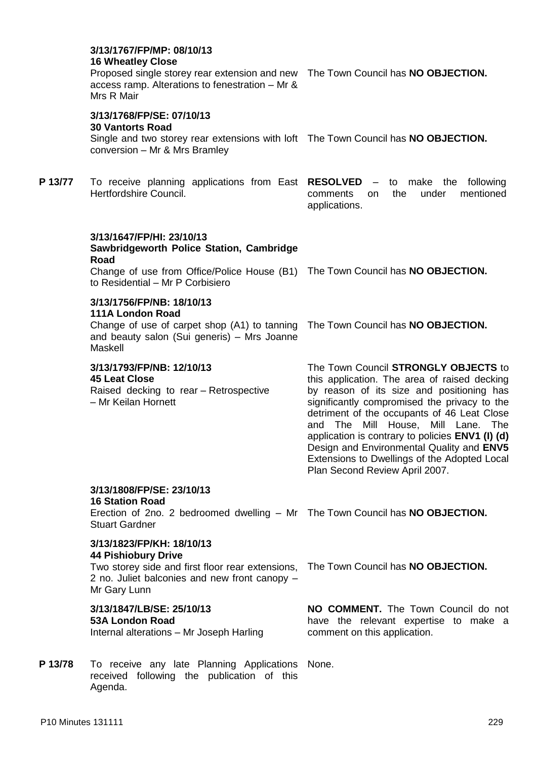### **3/13/1767/FP/MP: 08/10/13 16 Wheatley Close** Proposed single storey rear extension and new The Town Council has **NO OBJECTION.** access ramp. Alterations to fenestration – Mr & Mrs R Mair **3/13/1768/FP/SE: 07/10/13 30 Vantorts Road** Single and two storey rear extensions with loft The Town Council has **NO OBJECTION.** conversion – Mr & Mrs Bramley **P 13/77** To receive planning applications from East **RESOLVED** – to make the following Hertfordshire Council. comments on the under mentioned applications. **3/13/1647/FP/HI: 23/10/13 Sawbridgeworth Police Station, Cambridge Road** Change of use from Office/Police House (B1) The Town Council has **NO OBJECTION.** to Residential – Mr P Corbisiero **3/13/1756/FP/NB: 18/10/13 111A London Road** Change of use of carpet shop (A1) to tanning The Town Council has **NO OBJECTION.** and beauty salon (Sui generis) – Mrs Joanne Maskell **3/13/1793/FP/NB: 12/10/13 45 Leat Close** Raised decking to rear – Retrospective – Mr Keilan Hornett The Town Council **STRONGLY OBJECTS** to this application. The area of raised decking by reason of its size and positioning has significantly compromised the privacy to the detriment of the occupants of 46 Leat Close and The Mill House, Mill Lane. The application is contrary to policies **ENV1 (I) (d)**  Design and Environmental Quality and **ENV5** Extensions to Dwellings of the Adopted Local Plan Second Review April 2007. **3/13/1808/FP/SE: 23/10/13 16 Station Road** Erection of 2no. 2 bedroomed dwelling – Mr The Town Council has **NO OBJECTION.** Stuart Gardner **3/13/1823/FP/KH: 18/10/13 44 Pishiobury Drive** Two storey side and first floor rear extensions, The Town Council has **NO OBJECTION.** 2 no. Juliet balconies and new front canopy – Mr Gary Lunn **3/13/1847/LB/SE: 25/10/13 53A London Road** Internal alterations – Mr Joseph Harling **NO COMMENT.** The Town Council do not have the relevant expertise to make a comment on this application. P 13/78 To receive any late Planning Applications None. received following the publication of this Agenda.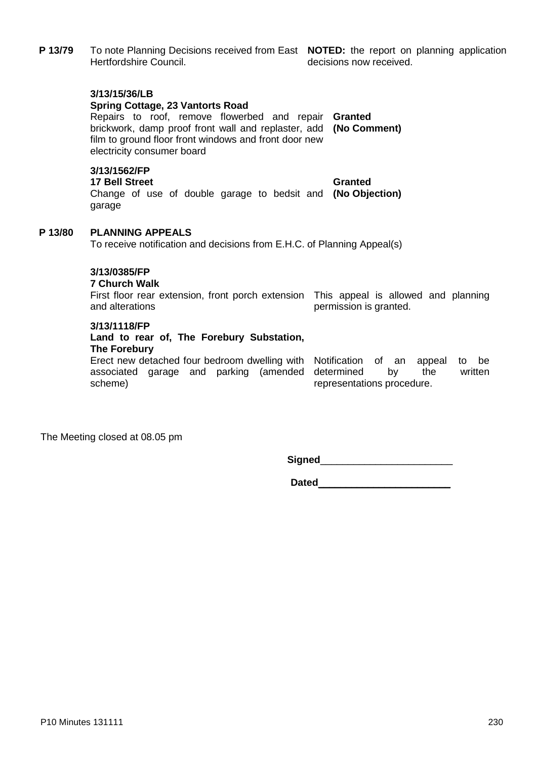|         | 3/13/15/36/LB<br><b>Spring Cottage, 23 Vantorts Road</b><br>Repairs to roof, remove flowerbed and repair <b>Granted</b><br>brickwork, damp proof front wall and replaster, add (No Comment)<br>film to ground floor front windows and front door new<br>electricity consumer board |                        |
|---------|------------------------------------------------------------------------------------------------------------------------------------------------------------------------------------------------------------------------------------------------------------------------------------|------------------------|
|         | 3/13/1562/FP<br><b>17 Bell Street</b><br>Change of use of double garage to bedsit and (No Objection)<br>garage                                                                                                                                                                     | Granted                |
| P 13/80 | <b>PLANNING APPEALS</b><br>To receive notification and decisions from E.H.C. of Planning Appeal(s)                                                                                                                                                                                 |                        |
|         | 3/13/0385/FP<br><b>7 Church Walk</b><br>First floor rear extension, front porch extension This appeal is allowed and planning<br>and alterations                                                                                                                                   | permission is granted. |
|         | 3/13/1118/FP<br>Land to rear of The Eorebury Substation                                                                                                                                                                                                                            |                        |

**P 13/79** To note Planning Decisions received from East **NOTED:** the report on planning application

decisions now received.

#### **Land to rear of, The Forebury Substation, The Forebury**

Erect new detached four bedroom dwelling with Notification of an appeal to be associated garage and parking (amended scheme)

determined by the written representations procedure.

The Meeting closed at 08.05 pm

Hertfordshire Council.

**Signed**\_\_\_\_\_\_\_\_\_\_\_\_\_\_\_\_\_\_\_\_\_\_\_\_

**Dated**\_\_\_\_\_\_\_\_\_\_\_\_\_\_\_\_\_\_\_\_\_\_\_\_